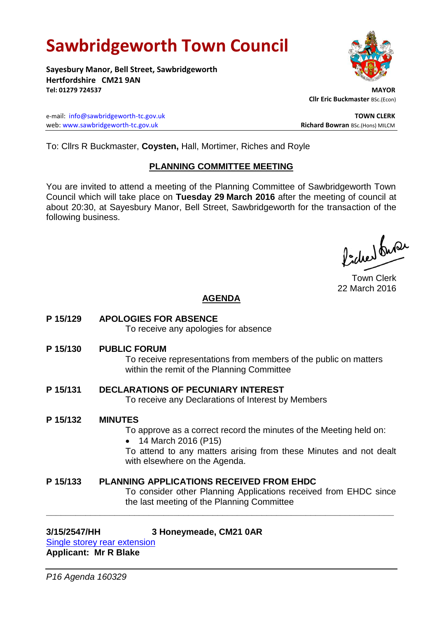# **Sawbridgeworth Town Council**

**Sayesbury Manor, Bell Street, Sawbridgeworth Hertfordshire CM21 9AN Tel: 01279 724537 MAYOR**

e-mail: [info@sawbridgeworth-tc.gov.uk](mailto:info@sawbridgeworth-tc.gov.uk) **TOWN CLERK** web: www.sawbridgeworth-tc.gov.uk<br>
Richard Bowran BSc.(Hons) MILCM

To: Cllrs R Buckmaster, **Coysten,** Hall, Mortimer, Riches and Royle

# **PLANNING COMMITTEE MEETING**

You are invited to attend a meeting of the Planning Committee of Sawbridgeworth Town Council which will take place on **Tuesday 29 March 2016** after the meeting of council at about 20:30, at Sayesbury Manor, Bell Street, Sawbridgeworth for the transaction of the following business.

ladres buse

Town Clerk 22 March 2016

# **AGENDA**

**P 15/129 APOLOGIES FOR ABSENCE**

To receive any apologies for absence

**P 15/130 PUBLIC FORUM**

To receive representations from members of the public on matters within the remit of the Planning Committee

**P 15/131 DECLARATIONS OF PECUNIARY INTEREST** To receive any Declarations of Interest by Members

### **P 15/132 MINUTES**

To approve as a correct record the minutes of the Meeting held on:

• 14 March 2016 (P15)

To attend to any matters arising from these Minutes and not dealt with elsewhere on the Agenda.

**P 15/133 PLANNING APPLICATIONS RECEIVED FROM EHDC** To consider other Planning Applications received from EHDC since the last meeting of the Planning Committee

**\_\_\_\_\_\_\_\_\_\_\_\_\_\_\_\_\_\_\_\_\_\_\_\_\_\_\_\_\_\_\_\_\_\_\_\_\_\_\_\_\_\_\_\_\_\_\_\_\_\_\_\_\_\_\_\_\_\_\_\_\_\_\_\_\_\_\_\_\_\_\_**

# **3/15/2547/HH 3 Honeymeade, CM21 0AR**

[Single storey rear extension](https://publicaccess.eastherts.gov.uk/online-applications/applicationDetails.do?activeTab=summary&keyVal=NZR6BSGL00X00) **Applicant: Mr R Blake**



 **Cllr Eric Buckmaster** BSc.(Econ)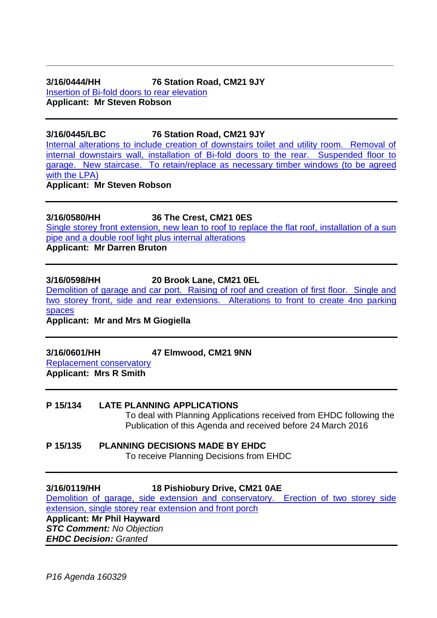# **3/16/0444/HH 76 Station Road, CM21 9JY**

[Insertion of Bi-fold doors](https://publicaccess.eastherts.gov.uk/online-applications/applicationDetails.do?activeTab=summary&keyVal=O31W29GLISZ00) to rear elevation **Applicant: Mr Steven Robson**

**3/16/0445/LBC 76 Station Road, CM21 9JY**

[Internal alterations to include creation of downstairs toilet and utility room. Removal of](https://publicaccess.eastherts.gov.uk/online-applications/applicationDetails.do?activeTab=summary&keyVal=O31W2FGLIT000)  [internal downstairs wall, installation of Bi-fold doors to the rear. Suspended floor to](https://publicaccess.eastherts.gov.uk/online-applications/applicationDetails.do?activeTab=summary&keyVal=O31W2FGLIT000)  [garage. New staircase. To retain/replace as necessary timber windows \(to be agreed](https://publicaccess.eastherts.gov.uk/online-applications/applicationDetails.do?activeTab=summary&keyVal=O31W2FGLIT000)  [with the LPA\)](https://publicaccess.eastherts.gov.uk/online-applications/applicationDetails.do?activeTab=summary&keyVal=O31W2FGLIT000) **Applicant: Mr Steven Robson**

**\_\_\_\_\_\_\_\_\_\_\_\_\_\_\_\_\_\_\_\_\_\_\_\_\_\_\_\_\_\_\_\_\_\_\_\_\_\_\_\_\_\_\_\_\_\_\_\_\_\_\_\_\_\_\_\_\_\_\_\_\_\_\_\_\_\_\_\_\_\_\_**

**3/16/0580/HH 36 The Crest, CM21 0ES**

Single storey front [extension, new lean to roof to replace the flat roof, installation of a sun](https://publicaccess.eastherts.gov.uk/online-applications/applicationDetails.do?activeTab=summary&keyVal=O3TZ8EGLJ0900)  [pipe and a double roof light plus internal alterations](https://publicaccess.eastherts.gov.uk/online-applications/applicationDetails.do?activeTab=summary&keyVal=O3TZ8EGLJ0900)

**Applicant: Mr Darren Bruton**

### **3/16/0598/HH 20 Brook Lane, CM21 0EL**

[Demolition of garage and car port. Raising of roof and creation of first floor. Single and](https://publicaccess.eastherts.gov.uk/online-applications/applicationDetails.do?activeTab=summary&keyVal=O3Z81GGLJ1M00)  [two storey front, side and rear extensions. Alterations to front to create 4no parking](https://publicaccess.eastherts.gov.uk/online-applications/applicationDetails.do?activeTab=summary&keyVal=O3Z81GGLJ1M00)  [spaces](https://publicaccess.eastherts.gov.uk/online-applications/applicationDetails.do?activeTab=summary&keyVal=O3Z81GGLJ1M00)

**Applicant: Mr and Mrs M Giogiella**

**3/16/0601/HH 47 Elmwood, CM21 9NN**

[Replacement conservatory](https://publicaccess.eastherts.gov.uk/online-applications/applicationDetails.do?activeTab=summary&keyVal=O40XROGL00X00) **Applicant: Mrs R Smith**

### **P 15/134 LATE PLANNING APPLICATIONS**

To deal with Planning Applications received from EHDC following the Publication of this Agenda and received before 24 March 2016

#### **P 15/135 PLANNING DECISIONS MADE BY EHDC** To receive Planning Decisions from EHDC

# **3/16/0119/HH 18 Pishiobury Drive, CM21 0AE**

[Demolition of garage, side extension and conservatory. Erection of two storey side](https://publicaccess.eastherts.gov.uk/online-applications/applicationDetails.do?activeTab=summary&keyVal=O17F3AGL00300)  [extension, single storey rear extension and front porch](https://publicaccess.eastherts.gov.uk/online-applications/applicationDetails.do?activeTab=summary&keyVal=O17F3AGL00300)

**Applicant: Mr Phil Hayward** *STC Comment: No Objection*

*EHDC Decision: Granted*